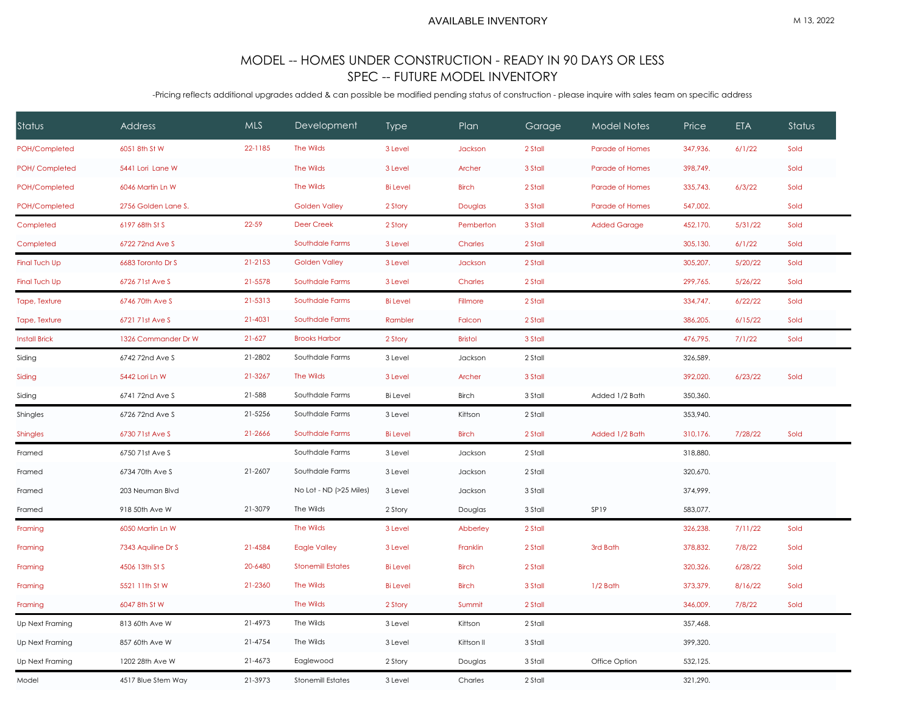## MODEL -- HOMES UNDER CONSTRUCTION - READY IN 90 DAYS OR LESS SPEC -- FUTURE MODEL INVENTORY

-Pricing reflects additional upgrades added & can possible be modified pending status of construction - please inquire with sales team on specific address

| Status               | Address             | <b>MLS</b> | Development              | <b>Type</b>     | Plan           | Garage  | <b>Model Notes</b>  | Price    | <b>ETA</b> | Status |  |
|----------------------|---------------------|------------|--------------------------|-----------------|----------------|---------|---------------------|----------|------------|--------|--|
| POH/Completed        | 6051 8th St W       | 22-1185    | The Wilds                | 3 Level         | Jackson        | 2 Stall | Parade of Homes     | 347,936. | 6/1/22     | Sold   |  |
| POH/ Completed       | 5441 Lori Lane W    |            | The Wilds                | 3 Level         | Archer         | 3 Stall | Parade of Homes     | 398,749. |            | Sold   |  |
| POH/Completed        | 6046 Martin Ln W    |            | The Wilds                | <b>Bi</b> Level | <b>Birch</b>   | 2 Stall | Parade of Homes     | 335,743. | 6/3/22     | Sold   |  |
| POH/Completed        | 2756 Golden Lane S. |            | <b>Golden Valley</b>     | 2 Story         | Douglas        | 3 Stall | Parade of Homes     | 547,002. |            | Sold   |  |
| Completed            | 6197 68th St S      | 22-59      | Deer Creek               | 2 Story         | Pemberton      | 3 Stall | <b>Added Garage</b> | 452,170. | 5/31/22    | Sold   |  |
| Completed            | 6722 72nd Ave S     |            | Southdale Farms          | 3 Level         | Charles        | 2 Stall |                     | 305,130. | 6/1/22     | Sold   |  |
| <b>Final Tuch Up</b> | 6683 Toronto Dr S   | 21-2153    | <b>Golden Valley</b>     | 3 Level         | Jackson        | 2 Stall |                     | 305,207. | 5/20/22    | Sold   |  |
| <b>Final Tuch Up</b> | 6726 71st Ave S     | 21-5578    | Southdale Farms          | 3 Level         | Charles        | 2 Stall |                     | 299,765. | 5/26/22    | Sold   |  |
| Tape, Texture        | 6746 70th Ave S     | 21-5313    | Southdale Farms          | <b>Bi</b> Level | Fillmore       | 2 Stall |                     | 334,747. | 6/22/22    | Sold   |  |
| Tape, Texture        | 6721 71st Ave S     | 21-4031    | Southdale Farms          | Rambler         | Falcon         | 2 Stall |                     | 386,205. | 6/15/22    | Sold   |  |
| <b>Install Brick</b> | 1326 Commander Dr W | $21 - 627$ | <b>Brooks Harbor</b>     | 2 Story         | <b>Bristol</b> | 3 Stall |                     | 476,795. | 7/1/22     | Sold   |  |
| Siding               | 6742 72nd Ave S     | 21-2802    | Southdale Farms          | 3 Level         | Jackson        | 2 Stall |                     | 326,589. |            |        |  |
| Siding               | 5442 Lori Ln W      | 21-3267    | The Wilds                | 3 Level         | Archer         | 3 Stall |                     | 392,020. | 6/23/22    | Sold   |  |
| Siding               | 6741 72nd Ave S     | 21-588     | Southdale Farms          | <b>Bi</b> Level | <b>Birch</b>   | 3 Stall | Added 1/2 Bath      | 350,360. |            |        |  |
| Shingles             | 6726 72nd Ave S     | 21-5256    | Southdale Farms          | 3 Level         | Kittson        | 2 Stall |                     | 353,940. |            |        |  |
| <b>Shingles</b>      | 6730 71st Ave S     | 21-2666    | Southdale Farms          | <b>Bi</b> Level | <b>Birch</b>   | 2 Stall | Added 1/2 Bath      | 310,176. | 7/28/22    | Sold   |  |
| Framed               | 6750 71st Ave S     |            | Southdale Farms          | 3 Level         | Jackson        | 2 Stall |                     | 318,880. |            |        |  |
| Framed               | 6734 70th Ave S     | 21-2607    | Southdale Farms          | 3 Level         | Jackson        | 2 Stall |                     | 320,670. |            |        |  |
| Framed               | 203 Neuman Blvd     |            | No Lot - ND (>25 Miles)  | 3 Level         | Jackson        | 3 Stall |                     | 374,999. |            |        |  |
| Framed               | 918 50th Ave W      | 21-3079    | The Wilds                | 2 Story         | Douglas        | 3 Stall | SP19                | 583,077. |            |        |  |
| Framing              | 6050 Martin Ln W    |            | The Wilds                | 3 Level         | Abberley       | 2 Stall |                     | 326,238. | 7/11/22    | Sold   |  |
| Framing              | 7343 Aquiline Dr S  | 21-4584    | <b>Eagle Valley</b>      | 3 Level         | Franklin       | 2 Stall | 3rd Bath            | 378,832. | 7/8/22     | Sold   |  |
| Framing              | 4506 13th St S      | 20-6480    | <b>Stonemill Estates</b> | <b>Bi</b> Level | <b>Birch</b>   | 2 Stall |                     | 320,326. | 6/28/22    | Sold   |  |
| Framing              | 5521 11th St W      | 21-2360    | The Wilds                | <b>Bi</b> Level | <b>Birch</b>   | 3 Stall | 1/2 Bath            | 373,379. | 8/16/22    | Sold   |  |
| Framing              | 6047 8th St W       |            | The Wilds                | 2 Story         | Summit         | 2 Stall |                     | 346,009. | 7/8/22     | Sold   |  |
| Up Next Framing      | 813 60th Ave W      | 21-4973    | The Wilds                | 3 Level         | Kittson        | 2 Stall |                     | 357,468. |            |        |  |
| Up Next Framing      | 857 60th Ave W      | 21-4754    | The Wilds                | 3 Level         | Kittson II     | 3 Stall |                     | 399,320. |            |        |  |
| Up Next Framing      | 1202 28th Ave W     | 21-4673    | Eaglewood                | 2 Story         | Douglas        | 3 Stall | Office Option       | 532,125. |            |        |  |
| Model                | 4517 Blue Stem Way  | 21-3973    | <b>Stonemill Estates</b> | 3 Level         | Charles        | 2 Stall |                     | 321,290. |            |        |  |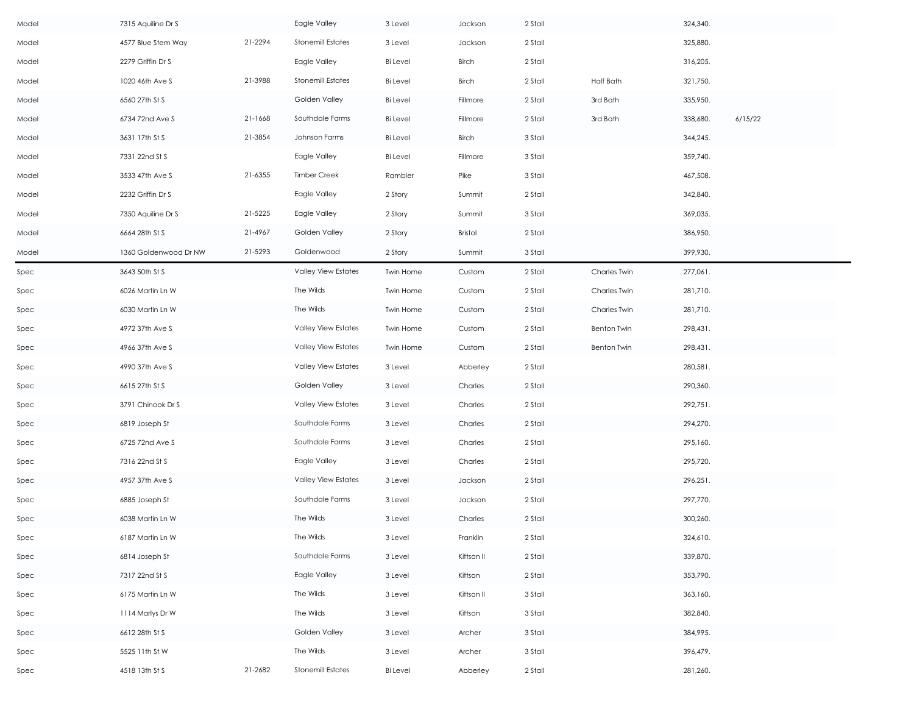| Model | 7315 Aquiline Dr S    |         | Eagle Valley               | 3 Level         | Jackson    | 2 Stall |                    | 324,340. |         |
|-------|-----------------------|---------|----------------------------|-----------------|------------|---------|--------------------|----------|---------|
| Model | 4577 Blue Stem Way    | 21-2294 | <b>Stonemill Estates</b>   | 3 Level         | Jackson    | 2 Stall |                    | 325,880. |         |
| Model | 2279 Griffin Dr S     |         | Eagle Valley               | <b>Bi</b> Level | Birch      | 2 Stall |                    | 316,205. |         |
| Model | 1020 46th Ave S       | 21-3988 | <b>Stonemill Estates</b>   | <b>Bi</b> Level | Birch      | 2 Stall | <b>Half Bath</b>   | 321,750. |         |
| Model | 6560 27th St S        |         | Golden Valley              | <b>Bi</b> Level | Fillmore   | 2 Stall | 3rd Bath           | 335,950. |         |
| Model | 6734 72nd Ave S       | 21-1668 | Southdale Farms            | <b>Bi</b> Level | Fillmore   | 2 Stall | 3rd Bath           | 338,680. | 6/15/22 |
| Model | 3631 17th St S        | 21-3854 | Johnson Farms              | <b>Bi</b> Level | Birch      | 3 Stall |                    | 344,245. |         |
| Model | 7331 22nd St S        |         | Eagle Valley               | <b>Bi</b> Level | Fillmore   | 3 Stall |                    | 359,740. |         |
| Model | 3533 47th Ave S       | 21-6355 | <b>Timber Creek</b>        | Rambler         | Pike       | 3 Stall |                    | 467,508. |         |
| Model | 2232 Griffin Dr S     |         | Eagle Valley               | 2 Story         | Summit     | 2 Stall |                    | 342,840. |         |
| Model | 7350 Aquiline Dr S    | 21-5225 | Eagle Valley               | 2 Story         | Summit     | 3 Stall |                    | 369,035. |         |
| Model | 6664 28th St S        | 21-4967 | Golden Valley              | 2 Story         | Bristol    | 2 Stall |                    | 386,950. |         |
| Model | 1360 Goldenwood Dr NW | 21-5293 | Goldenwood                 | 2 Story         | Summit     | 3 Stall |                    | 399,930. |         |
| Spec  | 3643 50th St S        |         | <b>Valley View Estates</b> | Twin Home       | Custom     | 2 Stall | Charles Twin       | 277,061. |         |
| Spec  | 6026 Martin Ln W      |         | The Wilds                  | Twin Home       | Custom     | 2 Stall | Charles Twin       | 281,710. |         |
| Spec  | 6030 Martin Ln W      |         | The Wilds                  | Twin Home       | Custom     | 2 Stall | Charles Twin       | 281,710. |         |
| Spec  | 4972 37th Ave S       |         | <b>Valley View Estates</b> | Twin Home       | Custom     | 2 Stall | <b>Benton Twin</b> | 298,431. |         |
| Spec  | 4966 37th Ave S       |         | <b>Valley View Estates</b> | Twin Home       | Custom     | 2 Stall | <b>Benton Twin</b> | 298,431. |         |
| Spec  | 4990 37th Ave S       |         | <b>Valley View Estates</b> | 3 Level         | Abberley   | 2 Stall |                    | 280,581. |         |
| Spec  | 6615 27th St S        |         | Golden Valley              | 3 Level         | Charles    | 2 Stall |                    | 290,360. |         |
| Spec  | 3791 Chinook Dr S     |         | <b>Valley View Estates</b> | 3 Level         | Charles    | 2 Stall |                    | 292,751. |         |
| Spec  | 6819 Joseph St        |         | Southdale Farms            | 3 Level         | Charles    | 2 Stall |                    | 294,270. |         |
| Spec  | 6725 72nd Ave S       |         | Southdale Farms            | 3 Level         | Charles    | 2 Stall |                    | 295,160. |         |
| Spec  | 7316 22nd St S        |         | Eagle Valley               | 3 Level         | Charles    | 2 Stall |                    | 295,720. |         |
| Spec  | 4957 37th Ave S       |         | <b>Valley View Estates</b> | 3 Level         | Jackson    | 2 Stall |                    | 296,251. |         |
| Spec  | 6885 Joseph St        |         | Southdale Farms            | 3 Level         | Jackson    | 2 Stall |                    | 297,770. |         |
| Spec  | 6038 Martin Ln W      |         | The Wilds                  | 3 Level         | Charles    | 2 Stall |                    | 300,260. |         |
| Spec  | 6187 Martin Ln W      |         | The Wilds                  | 3 Level         | Franklin   | 2 Stall |                    | 324,610. |         |
| Spec  | 6814 Joseph St        |         | Southdale Farms            | 3 Level         | Kittson II | 2 Stall |                    | 339,870. |         |
| Spec  | 7317 22nd St S        |         | Eagle Valley               | 3 Level         | Kittson    | 2 Stall |                    | 353,790. |         |
| Spec  | 6175 Martin Ln W      |         | The Wilds                  | 3 Level         | Kittson II | 3 Stall |                    | 363,160. |         |
| Spec  | 1114 Marlys Dr W      |         | The Wilds                  | 3 Level         | Kittson    | 3 Stall |                    | 382,840. |         |
| Spec  | 6612 28th St S        |         | Golden Valley              | 3 Level         | Archer     | 3 Stall |                    | 384,995. |         |
| Spec  | 5525 11th St W        |         | The Wilds                  | 3 Level         | Archer     | 3 Stall |                    | 396,479. |         |
| Spec  | 4518 13th St S        | 21-2682 | <b>Stonemill Estates</b>   | <b>Bi</b> Level | Abberley   | 2 Stall |                    | 281,260. |         |